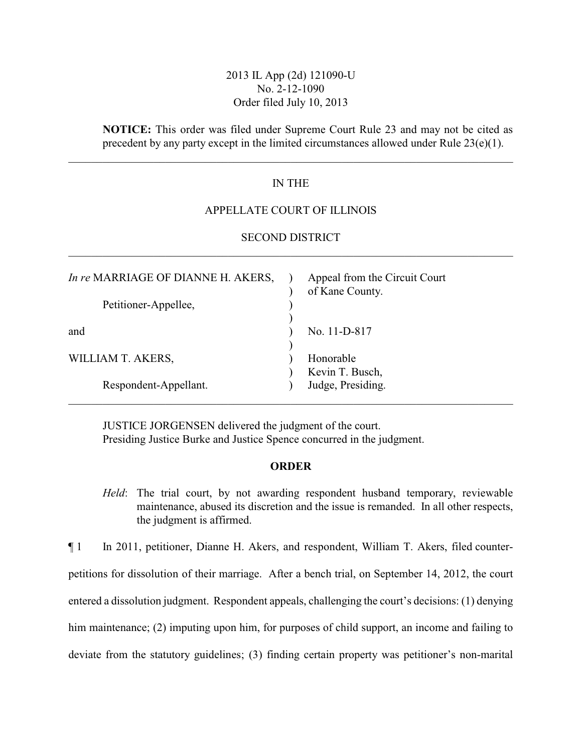# 2013 IL App (2d) 121090-U No. 2-12-1090 Order filed July 10, 2013

**NOTICE:** This order was filed under Supreme Court Rule 23 and may not be cited as precedent by any party except in the limited circumstances allowed under Rule 23(e)(1).

# IN THE

## APPELLATE COURT OF ILLINOIS

# SECOND DISTRICT \_\_\_\_\_\_\_\_\_\_\_\_\_\_\_\_\_\_\_\_\_\_\_\_\_\_\_\_\_\_\_\_\_\_\_\_\_\_\_\_\_\_\_\_\_\_\_\_\_\_\_\_\_\_\_\_\_\_\_\_\_\_\_\_\_\_\_\_\_\_\_\_\_\_\_\_\_\_

| <i>In re</i> MARRIAGE OF DIANNE H. AKERS, | Appeal from the Circuit Court<br>of Kane County. |
|-------------------------------------------|--------------------------------------------------|
| Petitioner-Appellee,                      |                                                  |
| and                                       | No. 11-D-817                                     |
| WILLIAM T. AKERS,                         | Honorable<br>Kevin T. Busch,                     |
| Respondent-Appellant.                     | Judge, Presiding.                                |

JUSTICE JORGENSEN delivered the judgment of the court. Presiding Justice Burke and Justice Spence concurred in the judgment.

#### **ORDER**

*Held*: The trial court, by not awarding respondent husband temporary, reviewable maintenance, abused its discretion and the issue is remanded. In all other respects, the judgment is affirmed.

¶ 1 In 2011, petitioner, Dianne H. Akers, and respondent, William T. Akers, filed counterpetitions for dissolution of their marriage. After a bench trial, on September 14, 2012, the court entered a dissolution judgment. Respondent appeals, challenging the court's decisions: (1) denying him maintenance; (2) imputing upon him, for purposes of child support, an income and failing to deviate from the statutory guidelines; (3) finding certain property was petitioner's non-marital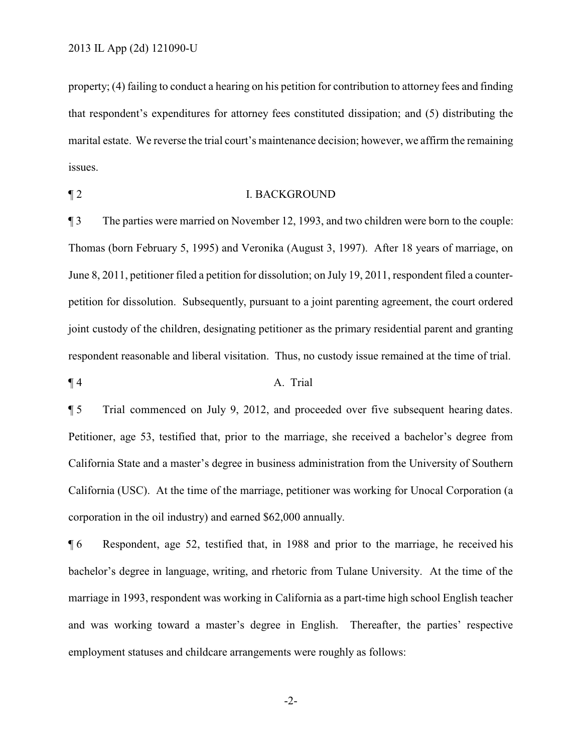property; (4) failing to conduct a hearing on his petition for contribution to attorney fees and finding that respondent's expenditures for attorney fees constituted dissipation; and (5) distributing the marital estate. We reverse the trial court's maintenance decision; however, we affirm the remaining issues.

# ¶ 2 I. BACKGROUND

¶ 3 The parties were married on November 12, 1993, and two children were born to the couple: Thomas (born February 5, 1995) and Veronika (August 3, 1997). After 18 years of marriage, on June 8, 2011, petitioner filed a petition for dissolution; on July 19, 2011, respondent filed a counterpetition for dissolution. Subsequently, pursuant to a joint parenting agreement, the court ordered joint custody of the children, designating petitioner as the primary residential parent and granting respondent reasonable and liberal visitation. Thus, no custody issue remained at the time of trial.

#### $\P$  4 A. Trial

¶ 5 Trial commenced on July 9, 2012, and proceeded over five subsequent hearing dates. Petitioner, age 53, testified that, prior to the marriage, she received a bachelor's degree from California State and a master's degree in business administration from the University of Southern California (USC). At the time of the marriage, petitioner was working for Unocal Corporation (a corporation in the oil industry) and earned \$62,000 annually.

¶ 6 Respondent, age 52, testified that, in 1988 and prior to the marriage, he received his bachelor's degree in language, writing, and rhetoric from Tulane University. At the time of the marriage in 1993, respondent was working in California as a part-time high school English teacher and was working toward a master's degree in English. Thereafter, the parties' respective employment statuses and childcare arrangements were roughly as follows:

-2-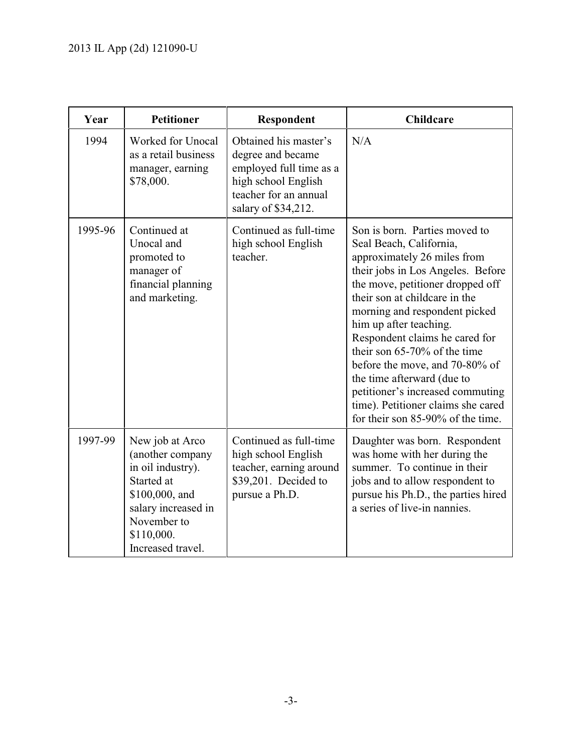| Year    | <b>Petitioner</b>                                                                                                                                                 | Respondent                                                                                                                                   | <b>Childcare</b>                                                                                                                                                                                                                                                                                                                                                                                                                                                                                                 |
|---------|-------------------------------------------------------------------------------------------------------------------------------------------------------------------|----------------------------------------------------------------------------------------------------------------------------------------------|------------------------------------------------------------------------------------------------------------------------------------------------------------------------------------------------------------------------------------------------------------------------------------------------------------------------------------------------------------------------------------------------------------------------------------------------------------------------------------------------------------------|
| 1994    | Worked for Unocal<br>as a retail business<br>manager, earning<br>\$78,000.                                                                                        | Obtained his master's<br>degree and became<br>employed full time as a<br>high school English<br>teacher for an annual<br>salary of \$34,212. | N/A                                                                                                                                                                                                                                                                                                                                                                                                                                                                                                              |
| 1995-96 | Continued at<br>Unocal and<br>promoted to<br>manager of<br>financial planning<br>and marketing.                                                                   | Continued as full-time<br>high school English<br>teacher.                                                                                    | Son is born. Parties moved to<br>Seal Beach, California,<br>approximately 26 miles from<br>their jobs in Los Angeles. Before<br>the move, petitioner dropped off<br>their son at childcare in the<br>morning and respondent picked<br>him up after teaching.<br>Respondent claims he cared for<br>their son $65-70\%$ of the time<br>before the move, and 70-80% of<br>the time afterward (due to<br>petitioner's increased commuting<br>time). Petitioner claims she cared<br>for their son 85-90% of the time. |
| 1997-99 | New job at Arco<br>(another company<br>in oil industry).<br>Started at<br>\$100,000, and<br>salary increased in<br>November to<br>\$110,000.<br>Increased travel. | Continued as full-time<br>high school English<br>teacher, earning around<br>\$39,201. Decided to<br>pursue a Ph.D.                           | Daughter was born. Respondent<br>was home with her during the<br>summer. To continue in their<br>jobs and to allow respondent to<br>pursue his Ph.D., the parties hired<br>a series of live-in nannies.                                                                                                                                                                                                                                                                                                          |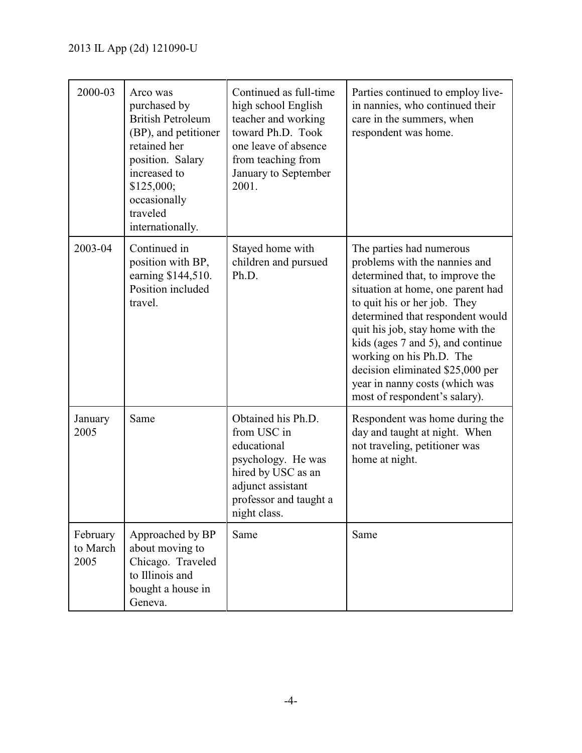| 2000-03                      | Arco was<br>purchased by<br><b>British Petroleum</b><br>(BP), and petitioner<br>retained her<br>position. Salary<br>increased to<br>\$125,000;<br>occasionally<br>traveled<br>internationally. | Continued as full-time<br>high school English<br>teacher and working<br>toward Ph.D. Took<br>one leave of absence<br>from teaching from<br>January to September<br>2001. | Parties continued to employ live-<br>in nannies, who continued their<br>care in the summers, when<br>respondent was home.                                                                                                                                                                                                                                                                                         |
|------------------------------|------------------------------------------------------------------------------------------------------------------------------------------------------------------------------------------------|--------------------------------------------------------------------------------------------------------------------------------------------------------------------------|-------------------------------------------------------------------------------------------------------------------------------------------------------------------------------------------------------------------------------------------------------------------------------------------------------------------------------------------------------------------------------------------------------------------|
| 2003-04                      | Continued in<br>position with BP,<br>earning \$144,510.<br>Position included<br>travel.                                                                                                        | Stayed home with<br>children and pursued<br>Ph.D.                                                                                                                        | The parties had numerous<br>problems with the nannies and<br>determined that, to improve the<br>situation at home, one parent had<br>to quit his or her job. They<br>determined that respondent would<br>quit his job, stay home with the<br>kids (ages 7 and 5), and continue<br>working on his Ph.D. The<br>decision eliminated \$25,000 per<br>year in nanny costs (which was<br>most of respondent's salary). |
| January<br>2005              | Same                                                                                                                                                                                           | Obtained his Ph.D.<br>from USC in<br>educational<br>psychology. He was<br>hired by USC as an<br>adjunct assistant<br>professor and taught a<br>night class.              | Respondent was home during the<br>day and taught at night. When<br>not traveling, petitioner was<br>home at night.                                                                                                                                                                                                                                                                                                |
| February<br>to March<br>2005 | Approached by BP<br>about moving to<br>Chicago. Traveled<br>to Illinois and<br>bought a house in<br>Geneva.                                                                                    | Same                                                                                                                                                                     | Same                                                                                                                                                                                                                                                                                                                                                                                                              |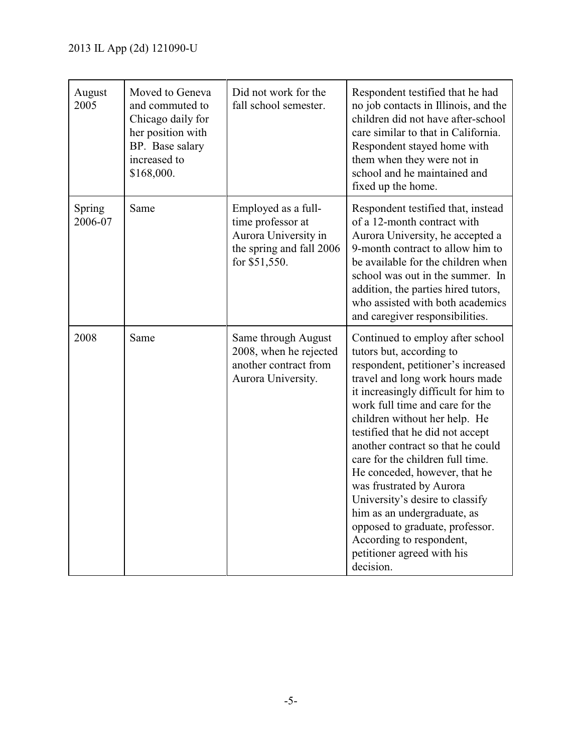| August<br>2005    | Moved to Geneva<br>and commuted to<br>Chicago daily for<br>her position with<br>BP. Base salary<br>increased to<br>\$168,000. | Did not work for the<br>fall school semester.                                                                 | Respondent testified that he had<br>no job contacts in Illinois, and the<br>children did not have after-school<br>care similar to that in California.<br>Respondent stayed home with<br>them when they were not in<br>school and he maintained and<br>fixed up the home.                                                                                                                                                                                                                                                                                                                                |
|-------------------|-------------------------------------------------------------------------------------------------------------------------------|---------------------------------------------------------------------------------------------------------------|---------------------------------------------------------------------------------------------------------------------------------------------------------------------------------------------------------------------------------------------------------------------------------------------------------------------------------------------------------------------------------------------------------------------------------------------------------------------------------------------------------------------------------------------------------------------------------------------------------|
| Spring<br>2006-07 | Same                                                                                                                          | Employed as a full-<br>time professor at<br>Aurora University in<br>the spring and fall 2006<br>for \$51,550. | Respondent testified that, instead<br>of a 12-month contract with<br>Aurora University, he accepted a<br>9-month contract to allow him to<br>be available for the children when<br>school was out in the summer. In<br>addition, the parties hired tutors,<br>who assisted with both academics<br>and caregiver responsibilities.                                                                                                                                                                                                                                                                       |
| 2008              | Same                                                                                                                          | Same through August<br>2008, when he rejected<br>another contract from<br>Aurora University.                  | Continued to employ after school<br>tutors but, according to<br>respondent, petitioner's increased<br>travel and long work hours made<br>it increasingly difficult for him to<br>work full time and care for the<br>children without her help. He<br>testified that he did not accept<br>another contract so that he could<br>care for the children full time.<br>He conceded, however, that he<br>was frustrated by Aurora<br>University's desire to classify<br>him as an undergraduate, as<br>opposed to graduate, professor.<br>According to respondent,<br>petitioner agreed with his<br>decision. |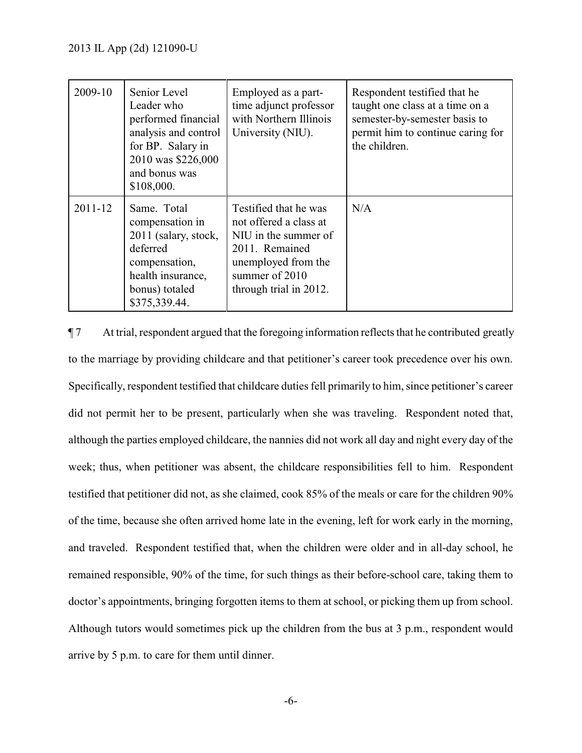| 2009-10     | Senior Level<br>Leader who<br>performed financial<br>analysis and control<br>for BP. Salary in<br>2010 was \$226,000<br>and bonus was<br>\$108,000. | Employed as a part-<br>time adjunct professor<br>with Northern Illinois<br>University (NIU).                                                                 | Respondent testified that he<br>taught one class at a time on a<br>semester-by-semester basis to<br>permit him to continue caring for<br>the children. |
|-------------|-----------------------------------------------------------------------------------------------------------------------------------------------------|--------------------------------------------------------------------------------------------------------------------------------------------------------------|--------------------------------------------------------------------------------------------------------------------------------------------------------|
| $2011 - 12$ | Same. Total<br>compensation in<br>2011 (salary, stock,<br>deferred<br>compensation,<br>health insurance,<br>bonus) totaled<br>\$375,339.44.         | Testified that he was<br>not offered a class at<br>NIU in the summer of<br>2011. Remained<br>unemployed from the<br>summer of 2010<br>through trial in 2012. | N/A                                                                                                                                                    |

¶ 7 At trial, respondent argued that the foregoing information reflects that he contributed greatly to the marriage by providing childcare and that petitioner's career took precedence over his own. Specifically, respondent testified that childcare duties fell primarily to him, since petitioner's career did not permit her to be present, particularly when she was traveling. Respondent noted that, although the parties employed childcare, the nannies did not work all day and night every day of the week; thus, when petitioner was absent, the childcare responsibilities fell to him. Respondent testified that petitioner did not, as she claimed, cook 85% of the meals or care for the children 90% of the time, because she often arrived home late in the evening, left for work early in the morning, and traveled. Respondent testified that, when the children were older and in all-day school, he remained responsible, 90% of the time, for such things as their before-school care, taking them to doctor's appointments, bringing forgotten items to them at school, or picking them up from school. Although tutors would sometimes pick up the children from the bus at 3 p.m., respondent would arrive by 5 p.m. to care for them until dinner.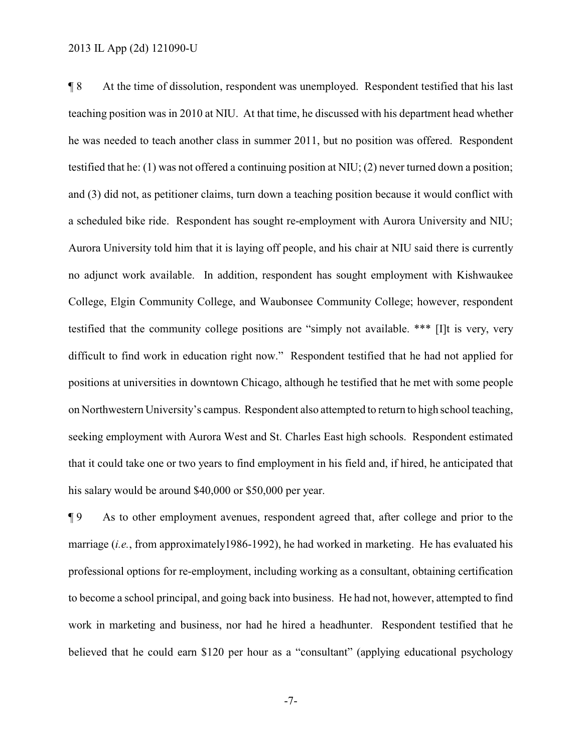¶ 8 At the time of dissolution, respondent was unemployed. Respondent testified that his last teaching position was in 2010 at NIU. At that time, he discussed with his department head whether he was needed to teach another class in summer 2011, but no position was offered. Respondent testified that he: (1) was not offered a continuing position at NIU; (2) never turned down a position; and (3) did not, as petitioner claims, turn down a teaching position because it would conflict with a scheduled bike ride. Respondent has sought re-employment with Aurora University and NIU; Aurora University told him that it is laying off people, and his chair at NIU said there is currently no adjunct work available. In addition, respondent has sought employment with Kishwaukee College, Elgin Community College, and Waubonsee Community College; however, respondent testified that the community college positions are "simply not available. \*\*\* [I]t is very, very difficult to find work in education right now." Respondent testified that he had not applied for positions at universities in downtown Chicago, although he testified that he met with some people on Northwestern University's campus. Respondent also attempted to return to high school teaching, seeking employment with Aurora West and St. Charles East high schools. Respondent estimated that it could take one or two years to find employment in his field and, if hired, he anticipated that his salary would be around \$40,000 or \$50,000 per year.

¶ 9 As to other employment avenues, respondent agreed that, after college and prior to the marriage (*i.e.*, from approximately1986-1992), he had worked in marketing. He has evaluated his professional options for re-employment, including working as a consultant, obtaining certification to become a school principal, and going back into business. He had not, however, attempted to find work in marketing and business, nor had he hired a headhunter. Respondent testified that he believed that he could earn \$120 per hour as a "consultant" (applying educational psychology

-7-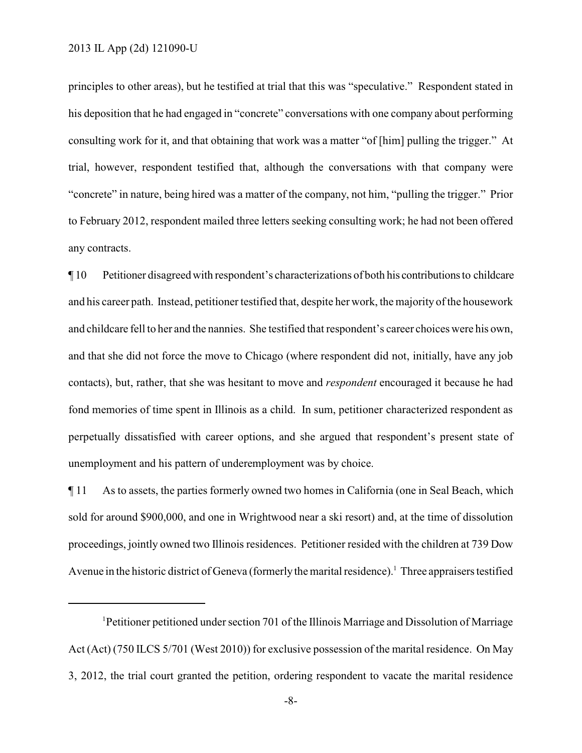principles to other areas), but he testified at trial that this was "speculative." Respondent stated in his deposition that he had engaged in "concrete" conversations with one company about performing consulting work for it, and that obtaining that work was a matter "of [him] pulling the trigger." At trial, however, respondent testified that, although the conversations with that company were "concrete" in nature, being hired was a matter of the company, not him, "pulling the trigger." Prior to February 2012, respondent mailed three letters seeking consulting work; he had not been offered any contracts.

¶ 10 Petitioner disagreed with respondent's characterizations of both his contributionsto childcare and his career path. Instead, petitioner testified that, despite her work, the majority of the housework and childcare fell to her and the nannies. She testified that respondent's career choices were his own, and that she did not force the move to Chicago (where respondent did not, initially, have any job contacts), but, rather, that she was hesitant to move and *respondent* encouraged it because he had fond memories of time spent in Illinois as a child. In sum, petitioner characterized respondent as perpetually dissatisfied with career options, and she argued that respondent's present state of unemployment and his pattern of underemployment was by choice.

¶ 11 As to assets, the parties formerly owned two homes in California (one in Seal Beach, which sold for around \$900,000, and one in Wrightwood near a ski resort) and, at the time of dissolution proceedings, jointly owned two Illinois residences. Petitioner resided with the children at 739 Dow Avenue in the historic district of Geneva (formerly the marital residence).<sup>1</sup> Three appraisers testified

<sup>&</sup>lt;sup>1</sup>Petitioner petitioned under section 701 of the Illinois Marriage and Dissolution of Marriage Act (Act) (750 ILCS 5/701 (West 2010)) for exclusive possession of the marital residence. On May 3, 2012, the trial court granted the petition, ordering respondent to vacate the marital residence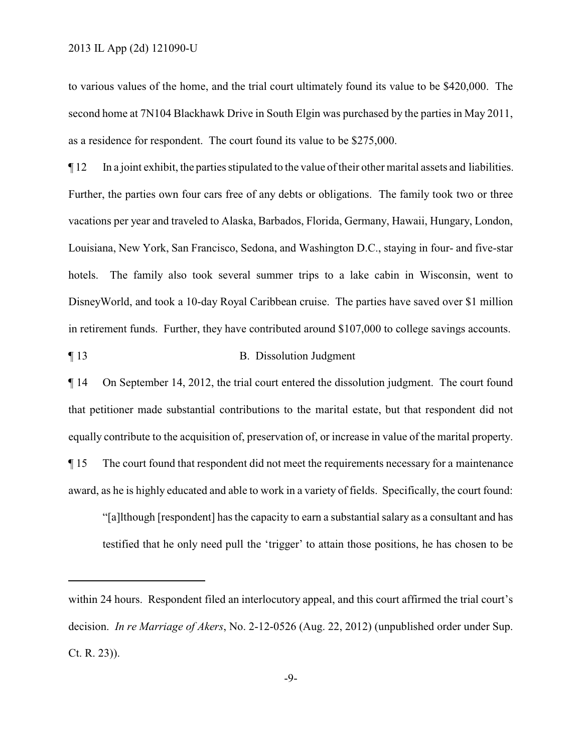to various values of the home, and the trial court ultimately found its value to be \$420,000. The second home at 7N104 Blackhawk Drive in South Elgin was purchased by the parties in May 2011, as a residence for respondent. The court found its value to be \$275,000.

¶ 12 In a joint exhibit, the parties stipulated to the value of their other marital assets and liabilities. Further, the parties own four cars free of any debts or obligations. The family took two or three vacations per year and traveled to Alaska, Barbados, Florida, Germany, Hawaii, Hungary, London, Louisiana, New York, San Francisco, Sedona, and Washington D.C., staying in four- and five-star hotels. The family also took several summer trips to a lake cabin in Wisconsin, went to DisneyWorld, and took a 10-day Royal Caribbean cruise. The parties have saved over \$1 million in retirement funds. Further, they have contributed around \$107,000 to college savings accounts.

#### ¶ 13 B. Dissolution Judgment

¶ 14 On September 14, 2012, the trial court entered the dissolution judgment. The court found that petitioner made substantial contributions to the marital estate, but that respondent did not equally contribute to the acquisition of, preservation of, or increase in value of the marital property. ¶ 15 The court found that respondent did not meet the requirements necessary for a maintenance award, as he is highly educated and able to work in a variety of fields. Specifically, the court found:

"[a]lthough [respondent] has the capacity to earn a substantial salary as a consultant and has testified that he only need pull the 'trigger' to attain those positions, he has chosen to be

within 24 hours. Respondent filed an interlocutory appeal, and this court affirmed the trial court's decision. *In re Marriage of Akers*, No. 2-12-0526 (Aug. 22, 2012) (unpublished order under Sup. Ct. R. 23)).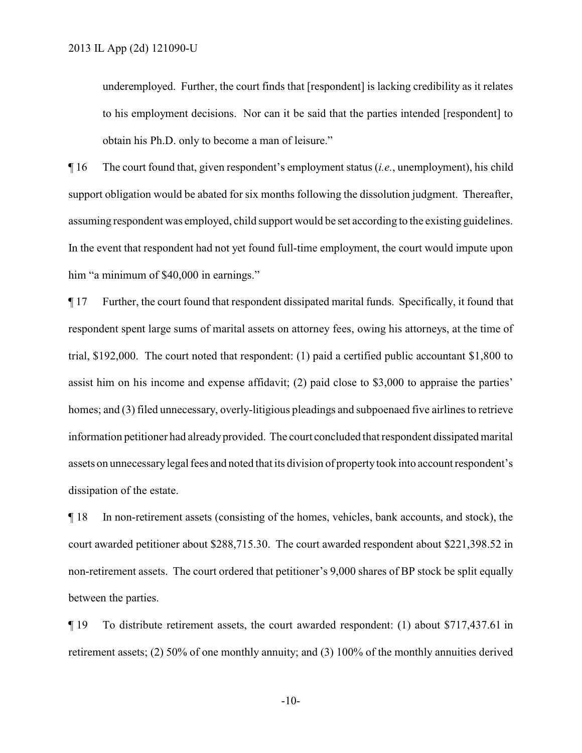underemployed. Further, the court finds that [respondent] is lacking credibility as it relates to his employment decisions. Nor can it be said that the parties intended [respondent] to obtain his Ph.D. only to become a man of leisure."

¶ 16 The court found that, given respondent's employment status (*i.e.*, unemployment), his child support obligation would be abated for six months following the dissolution judgment. Thereafter, assuming respondent was employed, child support would be set according to the existing guidelines. In the event that respondent had not yet found full-time employment, the court would impute upon him "a minimum of \$40,000 in earnings."

¶ 17 Further, the court found that respondent dissipated marital funds. Specifically, it found that respondent spent large sums of marital assets on attorney fees, owing his attorneys, at the time of trial, \$192,000. The court noted that respondent: (1) paid a certified public accountant \$1,800 to assist him on his income and expense affidavit; (2) paid close to \$3,000 to appraise the parties' homes; and (3) filed unnecessary, overly-litigious pleadings and subpoenaed five airlines to retrieve information petitioner had already provided. The court concluded that respondent dissipated marital assets on unnecessarylegal fees and noted that its division of propertytook into account respondent's dissipation of the estate.

¶ 18 In non-retirement assets (consisting of the homes, vehicles, bank accounts, and stock), the court awarded petitioner about \$288,715.30. The court awarded respondent about \$221,398.52 in non-retirement assets. The court ordered that petitioner's 9,000 shares of BP stock be split equally between the parties.

¶ 19 To distribute retirement assets, the court awarded respondent: (1) about \$717,437.61 in retirement assets; (2) 50% of one monthly annuity; and (3) 100% of the monthly annuities derived

-10-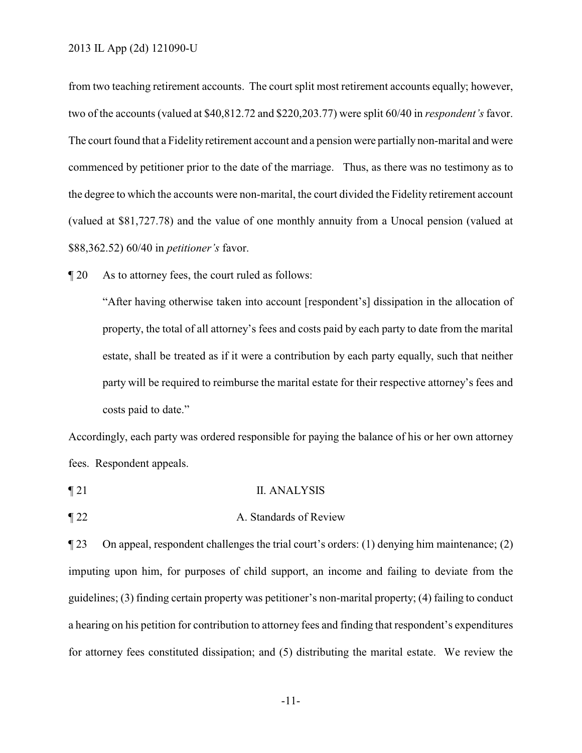from two teaching retirement accounts. The court split most retirement accounts equally; however, two of the accounts (valued at \$40,812.72 and \$220,203.77) were split 60/40 in *respondent's* favor. The court found that a Fidelity retirement account and a pension were partially non-marital and were commenced by petitioner prior to the date of the marriage. Thus, as there was no testimony as to the degree to which the accounts were non-marital, the court divided the Fidelity retirement account (valued at \$81,727.78) and the value of one monthly annuity from a Unocal pension (valued at \$88,362.52) 60/40 in *petitioner's* favor.

¶ 20 As to attorney fees, the court ruled as follows:

"After having otherwise taken into account [respondent's] dissipation in the allocation of property, the total of all attorney's fees and costs paid by each party to date from the marital estate, shall be treated as if it were a contribution by each party equally, such that neither party will be required to reimburse the marital estate for their respective attorney's fees and costs paid to date."

Accordingly, each party was ordered responsible for paying the balance of his or her own attorney fees. Respondent appeals.

- ¶ 21 II. ANALYSIS
- ¶ 22 A. Standards of Review

¶ 23 On appeal, respondent challenges the trial court's orders: (1) denying him maintenance; (2) imputing upon him, for purposes of child support, an income and failing to deviate from the guidelines; (3) finding certain property was petitioner's non-marital property; (4) failing to conduct a hearing on his petition for contribution to attorney fees and finding that respondent's expenditures for attorney fees constituted dissipation; and (5) distributing the marital estate. We review the

-11-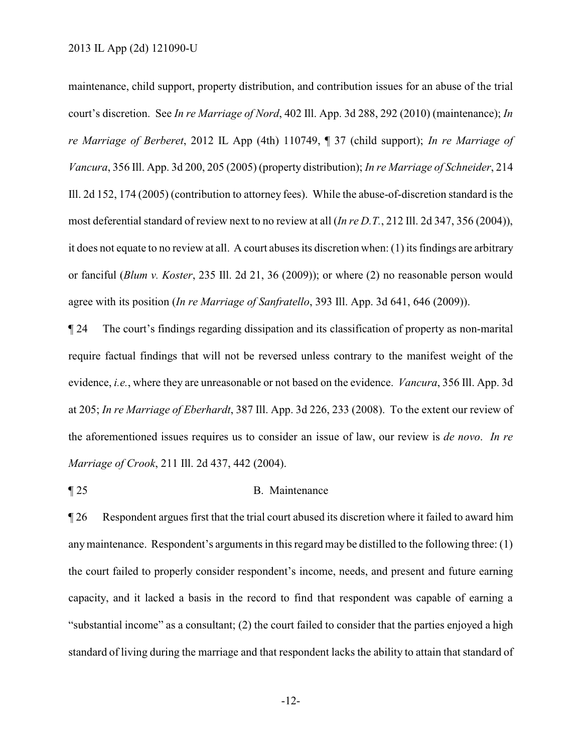maintenance, child support, property distribution, and contribution issues for an abuse of the trial court's discretion. See *In re Marriage of Nord*, 402 Ill. App. 3d 288, 292 (2010) (maintenance); *In re Marriage of Berberet*, 2012 IL App (4th) 110749, ¶ 37 (child support); *In re Marriage of Vancura*, 356 Ill. App. 3d 200, 205 (2005) (property distribution); *In re Marriage of Schneider*, 214 Ill. 2d 152, 174 (2005) (contribution to attorney fees). While the abuse-of-discretion standard is the most deferential standard of review next to no review at all (*In re D.T.*, 212 Ill. 2d 347, 356 (2004)), it does not equate to no review at all. A court abuses its discretion when: (1) its findings are arbitrary or fanciful (*Blum v. Koster*, 235 Ill. 2d 21, 36 (2009)); or where (2) no reasonable person would agree with its position (*In re Marriage of Sanfratello*, 393 Ill. App. 3d 641, 646 (2009)).

¶ 24 The court's findings regarding dissipation and its classification of property as non-marital require factual findings that will not be reversed unless contrary to the manifest weight of the evidence, *i.e.*, where they are unreasonable or not based on the evidence. *Vancura*, 356 Ill. App. 3d at 205; *In re Marriage of Eberhardt*, 387 Ill. App. 3d 226, 233 (2008). To the extent our review of the aforementioned issues requires us to consider an issue of law, our review is *de novo*. *In re Marriage of Crook*, 211 Ill. 2d 437, 442 (2004).

#### ¶ 25 B. Maintenance

¶ 26 Respondent argues first that the trial court abused its discretion where it failed to award him anymaintenance. Respondent's arguments in this regard may be distilled to the following three: (1) the court failed to properly consider respondent's income, needs, and present and future earning capacity, and it lacked a basis in the record to find that respondent was capable of earning a "substantial income" as a consultant; (2) the court failed to consider that the parties enjoyed a high standard of living during the marriage and that respondent lacks the ability to attain that standard of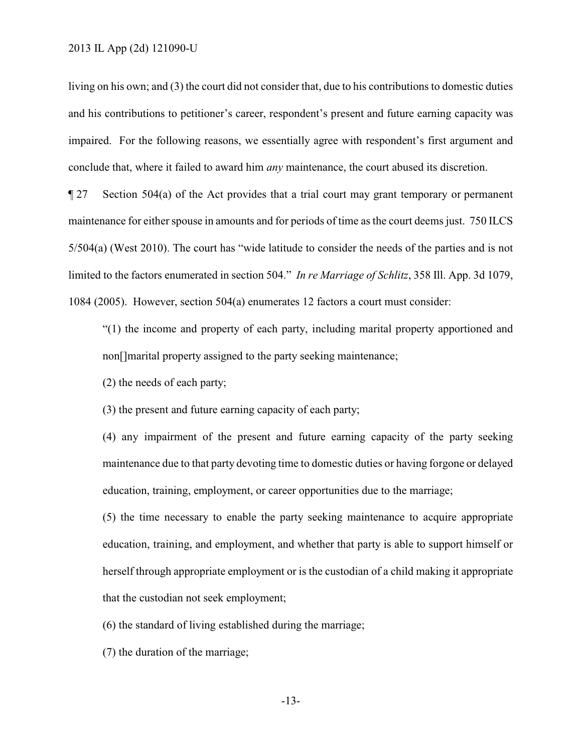living on his own; and (3) the court did not consider that, due to his contributions to domestic duties and his contributions to petitioner's career, respondent's present and future earning capacity was impaired. For the following reasons, we essentially agree with respondent's first argument and conclude that, where it failed to award him *any* maintenance, the court abused its discretion.

¶ 27 Section 504(a) of the Act provides that a trial court may grant temporary or permanent maintenance for either spouse in amounts and for periods of time as the court deems just. 750 ILCS 5/504(a) (West 2010). The court has "wide latitude to consider the needs of the parties and is not limited to the factors enumerated in section 504." *In re Marriage of Schlitz*, 358 Ill. App. 3d 1079, 1084 (2005). However, section 504(a) enumerates 12 factors a court must consider:

"(1) the income and property of each party, including marital property apportioned and non[]marital property assigned to the party seeking maintenance;

(2) the needs of each party;

(3) the present and future earning capacity of each party;

(4) any impairment of the present and future earning capacity of the party seeking maintenance due to that party devoting time to domestic duties or having forgone or delayed education, training, employment, or career opportunities due to the marriage;

(5) the time necessary to enable the party seeking maintenance to acquire appropriate education, training, and employment, and whether that party is able to support himself or herself through appropriate employment or is the custodian of a child making it appropriate that the custodian not seek employment;

(6) the standard of living established during the marriage;

(7) the duration of the marriage;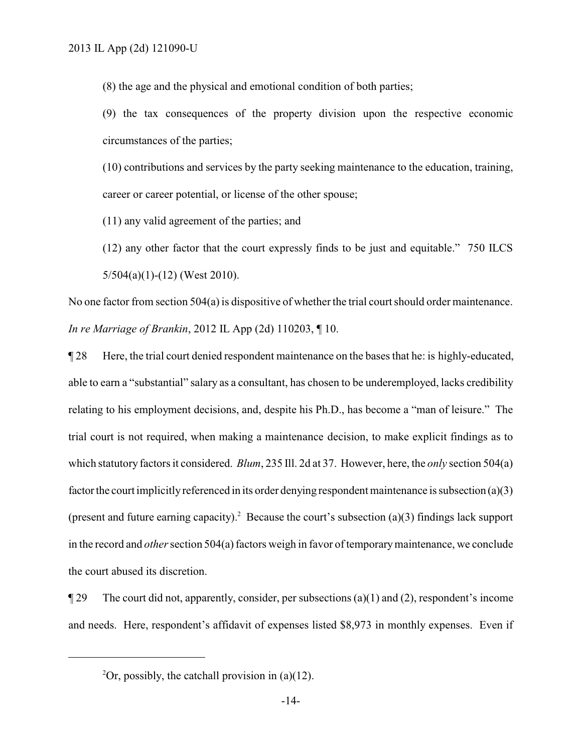(8) the age and the physical and emotional condition of both parties;

(9) the tax consequences of the property division upon the respective economic circumstances of the parties;

(10) contributions and services by the party seeking maintenance to the education, training, career or career potential, or license of the other spouse;

(11) any valid agreement of the parties; and

(12) any other factor that the court expressly finds to be just and equitable." 750 ILCS  $5/504(a)(1)-(12)$  (West 2010).

No one factor from section 504(a) is dispositive of whether the trial court should order maintenance. *In re Marriage of Brankin*, 2012 IL App (2d) 110203, ¶ 10.

¶ 28 Here, the trial court denied respondent maintenance on the bases that he: is highly-educated, able to earn a "substantial" salary as a consultant, has chosen to be underemployed, lacks credibility relating to his employment decisions, and, despite his Ph.D., has become a "man of leisure." The trial court is not required, when making a maintenance decision, to make explicit findings as to which statutory factors it considered. *Blum*, 235 Ill. 2d at 37. However, here, the *only* section 504(a) factor the court implicitly referenced in its order denying respondent maintenance is subsection (a)(3) (present and future earning capacity).<sup>2</sup> Because the court's subsection (a)(3) findings lack support in the record and *other* section 504(a) factors weigh in favor of temporary maintenance, we conclude the court abused its discretion.

¶ 29 The court did not, apparently, consider, per subsections (a)(1) and (2), respondent's income and needs. Here, respondent's affidavit of expenses listed \$8,973 in monthly expenses. Even if

<sup>&</sup>lt;sup>2</sup>Or, possibly, the catchall provision in (a)(12).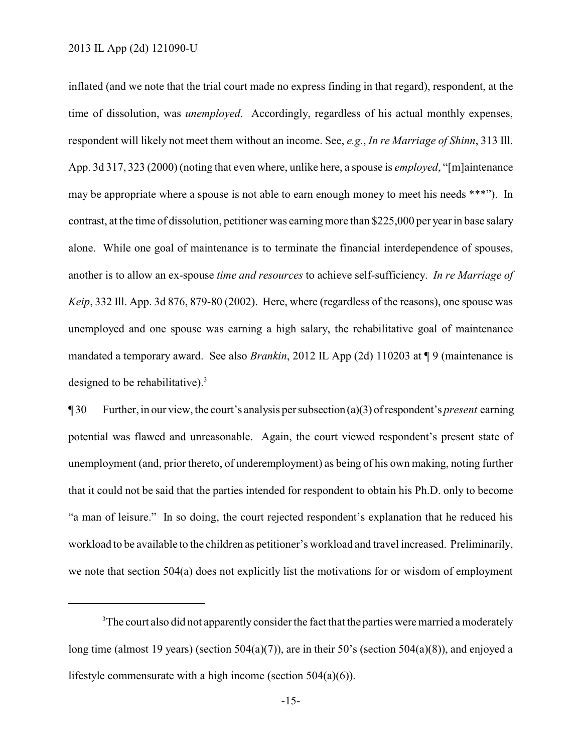inflated (and we note that the trial court made no express finding in that regard), respondent, at the time of dissolution, was *unemployed*. Accordingly, regardless of his actual monthly expenses, respondent will likely not meet them without an income. See, *e.g.*, *In re Marriage of Shinn*, 313 Ill. App. 3d 317, 323 (2000) (noting that even where, unlike here, a spouse is *employed*, "[m]aintenance may be appropriate where a spouse is not able to earn enough money to meet his needs \*\*\*"). In contrast, at the time of dissolution, petitioner was earning more than \$225,000 per yearin base salary alone. While one goal of maintenance is to terminate the financial interdependence of spouses, another is to allow an ex-spouse *time and resources* to achieve self-sufficiency. *In re Marriage of Keip*, 332 Ill. App. 3d 876, 879-80 (2002). Here, where (regardless of the reasons), one spouse was unemployed and one spouse was earning a high salary, the rehabilitative goal of maintenance mandated a temporary award. See also *Brankin*, 2012 IL App (2d) 110203 at ¶ 9 (maintenance is designed to be rehabilitative). $3$ 

¶ 30 Further, in our view, the court's analysis per subsection (a)(3) ofrespondent's *present* earning potential was flawed and unreasonable. Again, the court viewed respondent's present state of unemployment (and, prior thereto, of underemployment) as being of his own making, noting further that it could not be said that the parties intended for respondent to obtain his Ph.D. only to become "a man of leisure." In so doing, the court rejected respondent's explanation that he reduced his workload to be available to the children as petitioner's workload and travel increased. Preliminarily, we note that section 504(a) does not explicitly list the motivations for or wisdom of employment

 $3$ The court also did not apparently consider the fact that the parties were married a moderately long time (almost 19 years) (section 504(a)(7)), are in their 50's (section 504(a)(8)), and enjoyed a lifestyle commensurate with a high income (section 504(a)(6)).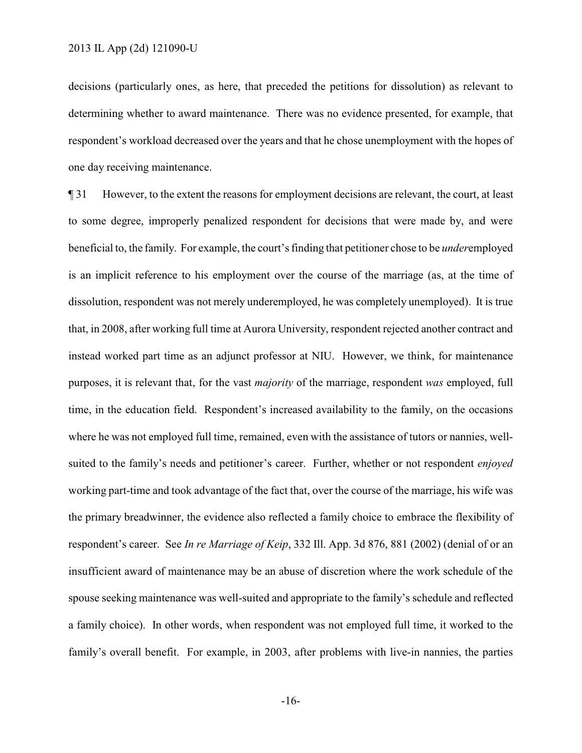decisions (particularly ones, as here, that preceded the petitions for dissolution) as relevant to determining whether to award maintenance. There was no evidence presented, for example, that respondent's workload decreased over the years and that he chose unemployment with the hopes of one day receiving maintenance.

¶ 31 However, to the extent the reasons for employment decisions are relevant, the court, at least to some degree, improperly penalized respondent for decisions that were made by, and were beneficial to, the family. For example, the court's finding that petitioner chose to be *under*employed is an implicit reference to his employment over the course of the marriage (as, at the time of dissolution, respondent was not merely underemployed, he was completely unemployed). It is true that, in 2008, after working full time at Aurora University, respondent rejected another contract and instead worked part time as an adjunct professor at NIU. However, we think, for maintenance purposes, it is relevant that, for the vast *majority* of the marriage, respondent *was* employed, full time, in the education field. Respondent's increased availability to the family, on the occasions where he was not employed full time, remained, even with the assistance of tutors or nannies, wellsuited to the family's needs and petitioner's career. Further, whether or not respondent *enjoyed* working part-time and took advantage of the fact that, over the course of the marriage, his wife was the primary breadwinner, the evidence also reflected a family choice to embrace the flexibility of respondent's career. See *In re Marriage of Keip*, 332 Ill. App. 3d 876, 881 (2002) (denial of or an insufficient award of maintenance may be an abuse of discretion where the work schedule of the spouse seeking maintenance was well-suited and appropriate to the family's schedule and reflected a family choice). In other words, when respondent was not employed full time, it worked to the family's overall benefit. For example, in 2003, after problems with live-in nannies, the parties

-16-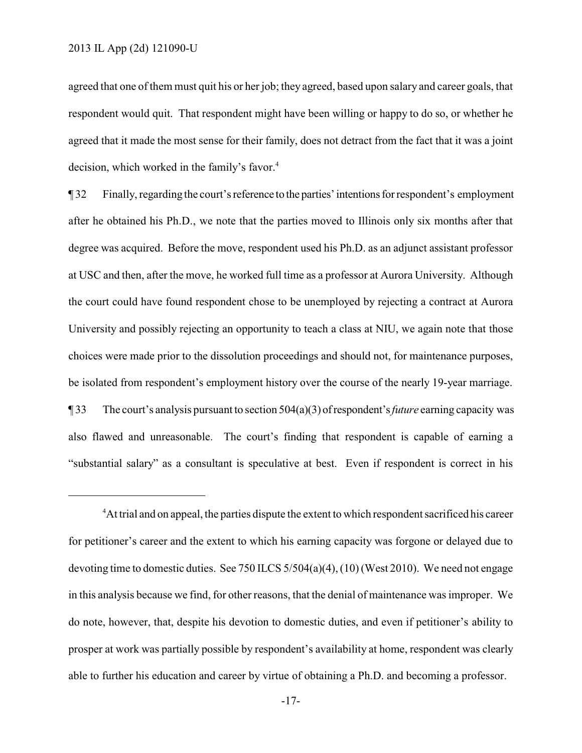agreed that one of them must quit his or her job; they agreed, based upon salary and career goals, that respondent would quit. That respondent might have been willing or happy to do so, or whether he agreed that it made the most sense for their family, does not detract from the fact that it was a joint decision, which worked in the family's favor.<sup>4</sup>

¶ 32 Finally, regarding the court's reference to the parties'intentionsforrespondent's employment after he obtained his Ph.D., we note that the parties moved to Illinois only six months after that degree was acquired. Before the move, respondent used his Ph.D. as an adjunct assistant professor at USC and then, after the move, he worked full time as a professor at Aurora University. Although the court could have found respondent chose to be unemployed by rejecting a contract at Aurora University and possibly rejecting an opportunity to teach a class at NIU, we again note that those choices were made prior to the dissolution proceedings and should not, for maintenance purposes, be isolated from respondent's employment history over the course of the nearly 19-year marriage. ¶ 33 The court's analysis pursuant to section 504(a)(3) ofrespondent's*future* earning capacity was also flawed and unreasonable. The court's finding that respondent is capable of earning a "substantial salary" as a consultant is speculative at best. Even if respondent is correct in his

 $4$ At trial and on appeal, the parties dispute the extent to which respondent sacrificed his career for petitioner's career and the extent to which his earning capacity was forgone or delayed due to devoting time to domestic duties. See 750 ILCS 5/504(a)(4), (10) (West 2010). We need not engage in this analysis because we find, for other reasons, that the denial of maintenance was improper. We do note, however, that, despite his devotion to domestic duties, and even if petitioner's ability to prosper at work was partially possible by respondent's availability at home, respondent was clearly able to further his education and career by virtue of obtaining a Ph.D. and becoming a professor.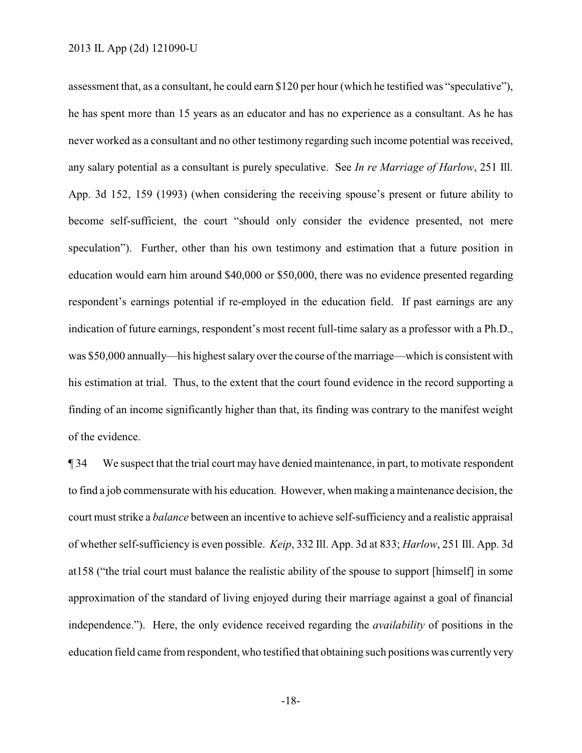assessment that, as a consultant, he could earn \$120 per hour (which he testified was "speculative"), he has spent more than 15 years as an educator and has no experience as a consultant. As he has never worked as a consultant and no other testimony regarding such income potential was received, any salary potential as a consultant is purely speculative. See *In re Marriage of Harlow*, 251 Ill. App. 3d 152, 159 (1993) (when considering the receiving spouse's present or future ability to become self-sufficient, the court "should only consider the evidence presented, not mere speculation"). Further, other than his own testimony and estimation that a future position in education would earn him around \$40,000 or \$50,000, there was no evidence presented regarding respondent's earnings potential if re-employed in the education field. If past earnings are any indication of future earnings, respondent's most recent full-time salary as a professor with a Ph.D., was \$50,000 annually—his highest salary over the course of the marriage—which is consistent with his estimation at trial. Thus, to the extent that the court found evidence in the record supporting a finding of an income significantly higher than that, its finding was contrary to the manifest weight of the evidence.

¶ 34 We suspect that the trial court may have denied maintenance, in part, to motivate respondent to find a job commensurate with his education. However, when making a maintenance decision, the court must strike a *balance* between an incentive to achieve self-sufficiency and a realistic appraisal of whetherself-sufficiency is even possible. *Keip*, 332 Ill. App. 3d at 833; *Harlow*, 251 Ill. App. 3d at158 ("the trial court must balance the realistic ability of the spouse to support [himself] in some approximation of the standard of living enjoyed during their marriage against a goal of financial independence."). Here, the only evidence received regarding the *availability* of positions in the education field came from respondent, who testified that obtaining such positions was currently very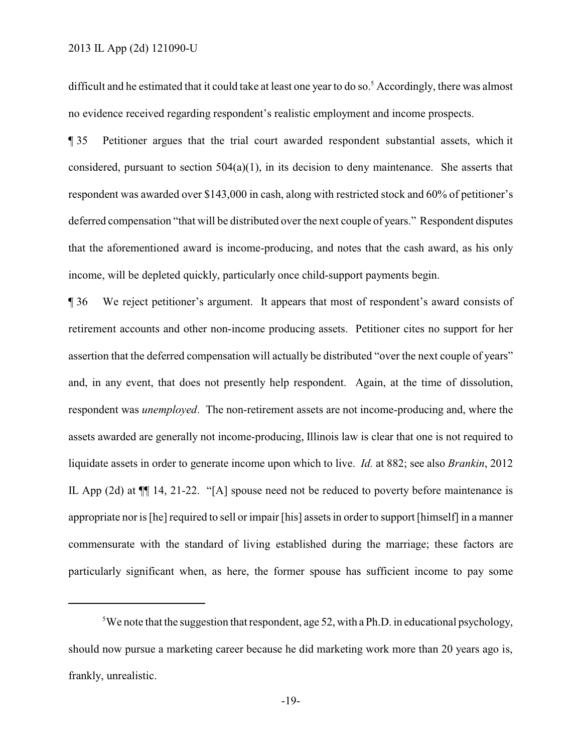difficult and he estimated that it could take at least one year to do so.<sup>5</sup> Accordingly, there was almost no evidence received regarding respondent's realistic employment and income prospects.

¶ 35 Petitioner argues that the trial court awarded respondent substantial assets, which it considered, pursuant to section 504(a)(1), in its decision to deny maintenance. She asserts that respondent was awarded over \$143,000 in cash, along with restricted stock and 60% of petitioner's deferred compensation "that will be distributed over the next couple of years." Respondent disputes that the aforementioned award is income-producing, and notes that the cash award, as his only income, will be depleted quickly, particularly once child-support payments begin.

¶ 36 We reject petitioner's argument. It appears that most of respondent's award consists of retirement accounts and other non-income producing assets. Petitioner cites no support for her assertion that the deferred compensation will actually be distributed "over the next couple of years" and, in any event, that does not presently help respondent. Again, at the time of dissolution, respondent was *unemployed*. The non-retirement assets are not income-producing and, where the assets awarded are generally not income-producing, Illinois law is clear that one is not required to liquidate assets in order to generate income upon which to live. *Id.* at 882; see also *Brankin*, 2012 IL App (2d) at ¶¶ 14, 21-22. "[A] spouse need not be reduced to poverty before maintenance is appropriate nor is [he] required to sell or impair [his] assets in order to support [himself] in a manner commensurate with the standard of living established during the marriage; these factors are particularly significant when, as here, the former spouse has sufficient income to pay some

<sup>&</sup>lt;sup>5</sup>We note that the suggestion that respondent, age 52, with a Ph.D. in educational psychology, should now pursue a marketing career because he did marketing work more than 20 years ago is, frankly, unrealistic.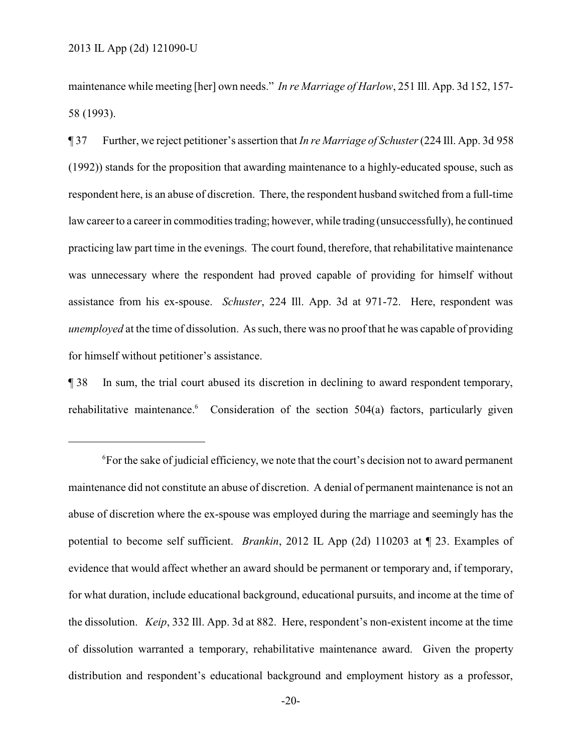maintenance while meeting [her] own needs." *In re Marriage of Harlow*, 251 Ill. App. 3d 152, 157- 58 (1993).

¶ 37 Further, we reject petitioner's assertion that *In re Marriage of Schuster*(224 Ill. App. 3d 958 (1992)) stands for the proposition that awarding maintenance to a highly-educated spouse, such as respondent here, is an abuse of discretion. There, the respondent husband switched from a full-time law career to a career in commodities trading; however, while trading (unsuccessfully), he continued practicing law part time in the evenings. The court found, therefore, that rehabilitative maintenance was unnecessary where the respondent had proved capable of providing for himself without assistance from his ex-spouse. *Schuster*, 224 Ill. App. 3d at 971-72. Here, respondent was *unemployed* at the time of dissolution. As such, there was no proof that he was capable of providing for himself without petitioner's assistance.

¶ 38 In sum, the trial court abused its discretion in declining to award respondent temporary, rehabilitative maintenance.<sup>6</sup> Consideration of the section 504(a) factors, particularly given

 ${}^{6}$ For the sake of judicial efficiency, we note that the court's decision not to award permanent maintenance did not constitute an abuse of discretion. A denial of permanent maintenance is not an abuse of discretion where the ex-spouse was employed during the marriage and seemingly has the potential to become self sufficient. *Brankin*, 2012 IL App (2d) 110203 at ¶ 23. Examples of evidence that would affect whether an award should be permanent or temporary and, if temporary, for what duration, include educational background, educational pursuits, and income at the time of the dissolution. *Keip*, 332 Ill. App. 3d at 882. Here, respondent's non-existent income at the time of dissolution warranted a temporary, rehabilitative maintenance award. Given the property distribution and respondent's educational background and employment history as a professor,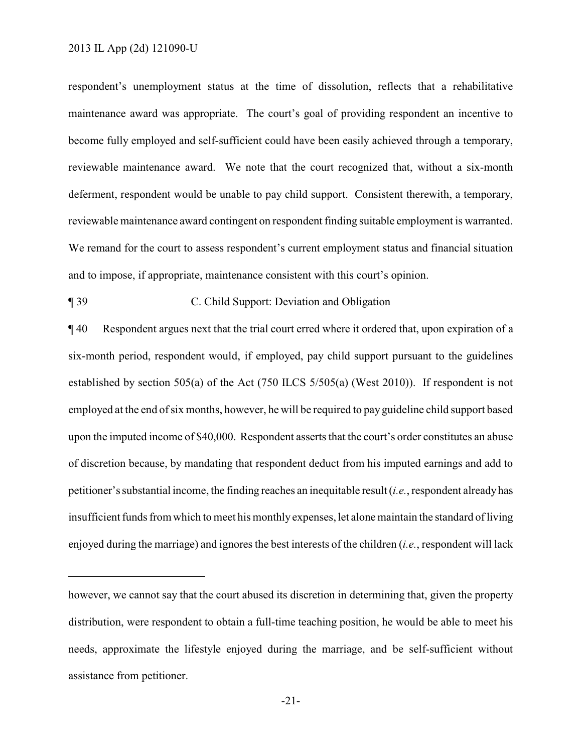respondent's unemployment status at the time of dissolution, reflects that a rehabilitative maintenance award was appropriate. The court's goal of providing respondent an incentive to become fully employed and self-sufficient could have been easily achieved through a temporary, reviewable maintenance award. We note that the court recognized that, without a six-month deferment, respondent would be unable to pay child support. Consistent therewith, a temporary, reviewable maintenance award contingent on respondent finding suitable employment is warranted. We remand for the court to assess respondent's current employment status and financial situation and to impose, if appropriate, maintenance consistent with this court's opinion.

#### ¶ 39 C. Child Support: Deviation and Obligation

¶ 40 Respondent argues next that the trial court erred where it ordered that, upon expiration of a six-month period, respondent would, if employed, pay child support pursuant to the guidelines established by section 505(a) of the Act (750 ILCS 5/505(a) (West 2010)). If respondent is not employed at the end of six months, however, he will be required to pay guideline child support based upon the imputed income of \$40,000. Respondent asserts that the court's order constitutes an abuse of discretion because, by mandating that respondent deduct from his imputed earnings and add to petitioner's substantial income, the finding reaches an inequitable result (*i.e.*, respondent alreadyhas insufficient funds from which to meet his monthly expenses, let alone maintain the standard of living enjoyed during the marriage) and ignores the best interests of the children (*i.e.*, respondent will lack

however, we cannot say that the court abused its discretion in determining that, given the property distribution, were respondent to obtain a full-time teaching position, he would be able to meet his needs, approximate the lifestyle enjoyed during the marriage, and be self-sufficient without assistance from petitioner.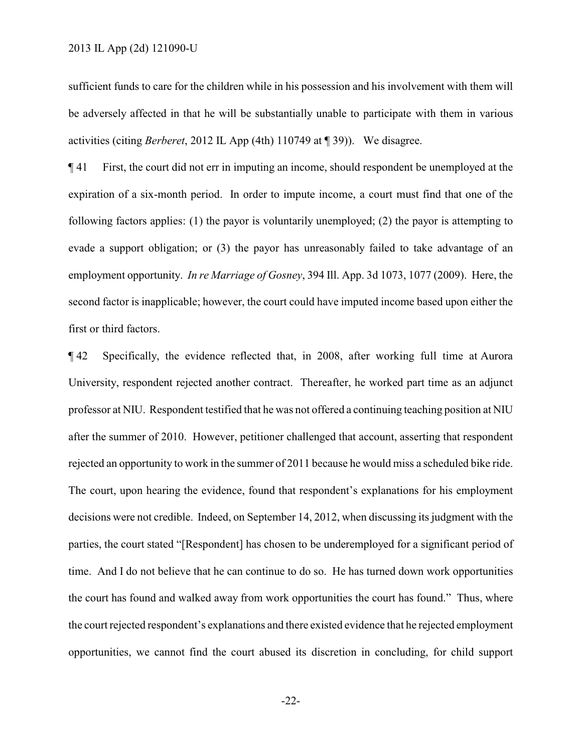sufficient funds to care for the children while in his possession and his involvement with them will be adversely affected in that he will be substantially unable to participate with them in various activities (citing *Berberet*, 2012 IL App (4th) 110749 at ¶ 39)). We disagree.

¶ 41 First, the court did not err in imputing an income, should respondent be unemployed at the expiration of a six-month period. In order to impute income, a court must find that one of the following factors applies: (1) the payor is voluntarily unemployed; (2) the payor is attempting to evade a support obligation; or (3) the payor has unreasonably failed to take advantage of an employment opportunity. *In re Marriage of Gosney*, 394 Ill. App. 3d 1073, 1077 (2009). Here, the second factor is inapplicable; however, the court could have imputed income based upon either the first or third factors.

¶ 42 Specifically, the evidence reflected that, in 2008, after working full time at Aurora University, respondent rejected another contract. Thereafter, he worked part time as an adjunct professor at NIU. Respondent testified that he was not offered a continuing teaching position at NIU after the summer of 2010. However, petitioner challenged that account, asserting that respondent rejected an opportunity to work in the summer of 2011 because he would miss a scheduled bike ride. The court, upon hearing the evidence, found that respondent's explanations for his employment decisions were not credible. Indeed, on September 14, 2012, when discussing its judgment with the parties, the court stated "[Respondent] has chosen to be underemployed for a significant period of time. And I do not believe that he can continue to do so. He has turned down work opportunities the court has found and walked away from work opportunities the court has found." Thus, where the court rejected respondent's explanations and there existed evidence that he rejected employment opportunities, we cannot find the court abused its discretion in concluding, for child support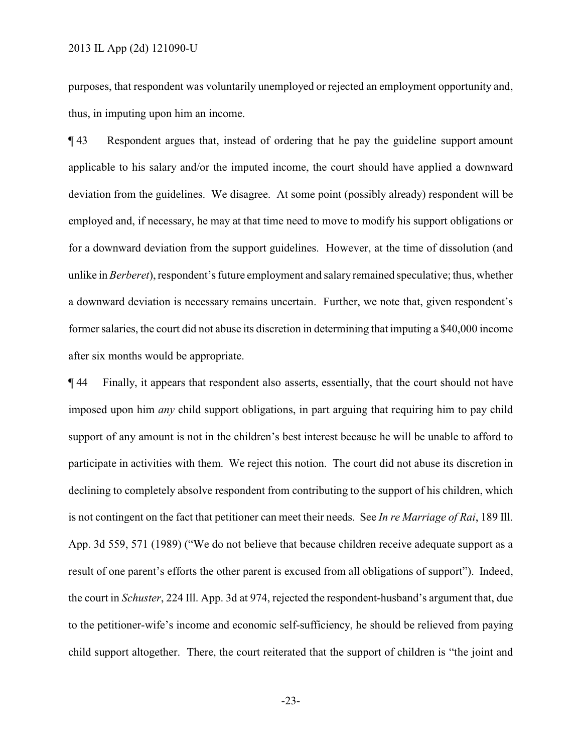purposes, that respondent was voluntarily unemployed or rejected an employment opportunity and, thus, in imputing upon him an income.

¶ 43 Respondent argues that, instead of ordering that he pay the guideline support amount applicable to his salary and/or the imputed income, the court should have applied a downward deviation from the guidelines. We disagree. At some point (possibly already) respondent will be employed and, if necessary, he may at that time need to move to modify his support obligations or for a downward deviation from the support guidelines. However, at the time of dissolution (and unlike in *Berberet*), respondent's future employment and salaryremained speculative; thus, whether a downward deviation is necessary remains uncertain. Further, we note that, given respondent's former salaries, the court did not abuse its discretion in determining that imputing a \$40,000 income after six months would be appropriate.

¶ 44 Finally, it appears that respondent also asserts, essentially, that the court should not have imposed upon him *any* child support obligations, in part arguing that requiring him to pay child support of any amount is not in the children's best interest because he will be unable to afford to participate in activities with them. We reject this notion. The court did not abuse its discretion in declining to completely absolve respondent from contributing to the support of his children, which is not contingent on the fact that petitioner can meet their needs. See *In re Marriage of Rai*, 189 Ill. App. 3d 559, 571 (1989) ("We do not believe that because children receive adequate support as a result of one parent's efforts the other parent is excused from all obligations of support"). Indeed, the court in *Schuster*, 224 Ill. App. 3d at 974, rejected the respondent-husband's argument that, due to the petitioner-wife's income and economic self-sufficiency, he should be relieved from paying child support altogether. There, the court reiterated that the support of children is "the joint and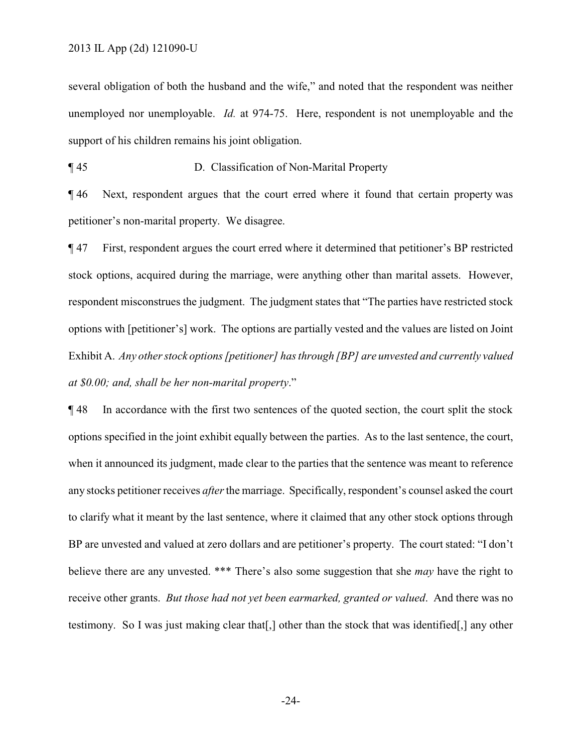several obligation of both the husband and the wife," and noted that the respondent was neither unemployed nor unemployable. *Id.* at 974-75. Here, respondent is not unemployable and the support of his children remains his joint obligation.

¶ 45 D. Classification of Non-Marital Property

¶ 46 Next, respondent argues that the court erred where it found that certain property was petitioner's non-marital property. We disagree.

¶ 47 First, respondent argues the court erred where it determined that petitioner's BP restricted stock options, acquired during the marriage, were anything other than marital assets. However, respondent misconstrues the judgment. The judgment states that "The parties have restricted stock options with [petitioner's] work. The options are partially vested and the values are listed on Joint Exhibit A. *Any other stock options [petitioner] has through [BP] are unvested and currently valued at \$0.00; and, shall be her non-marital property*."

¶ 48 In accordance with the first two sentences of the quoted section, the court split the stock options specified in the joint exhibit equally between the parties. As to the last sentence, the court, when it announced its judgment, made clear to the parties that the sentence was meant to reference any stocks petitioner receives *after*the marriage. Specifically, respondent's counsel asked the court to clarify what it meant by the last sentence, where it claimed that any other stock options through BP are unvested and valued at zero dollars and are petitioner's property. The court stated: "I don't believe there are any unvested. \*\*\* There's also some suggestion that she *may* have the right to receive other grants. *But those had not yet been earmarked, granted or valued*. And there was no testimony. So I was just making clear that[,] other than the stock that was identified[,] any other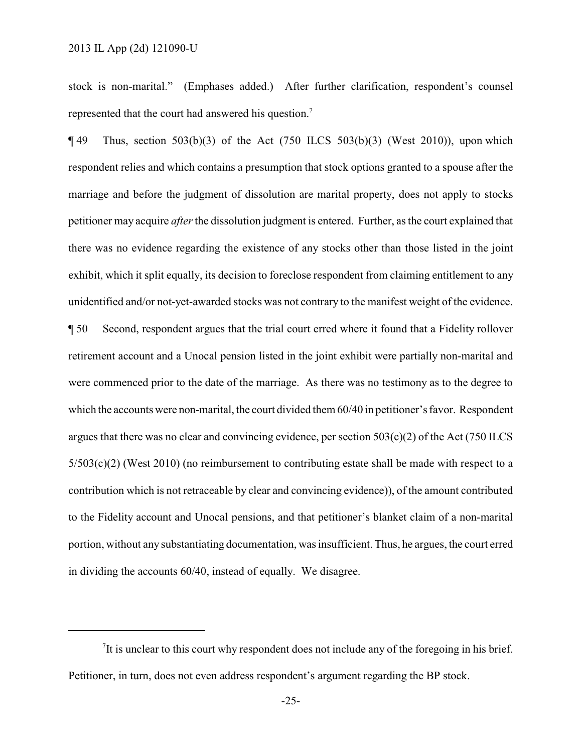stock is non-marital." (Emphases added.) After further clarification, respondent's counsel represented that the court had answered his question.<sup>7</sup>

 $\P$ 49 Thus, section 503(b)(3) of the Act (750 ILCS 503(b)(3) (West 2010)), upon which respondent relies and which contains a presumption that stock options granted to a spouse after the marriage and before the judgment of dissolution are marital property, does not apply to stocks petitioner may acquire *after*the dissolution judgment is entered. Further, as the court explained that there was no evidence regarding the existence of any stocks other than those listed in the joint exhibit, which it split equally, its decision to foreclose respondent from claiming entitlement to any unidentified and/or not-yet-awarded stocks was not contrary to the manifest weight of the evidence. ¶ 50 Second, respondent argues that the trial court erred where it found that a Fidelity rollover retirement account and a Unocal pension listed in the joint exhibit were partially non-marital and were commenced prior to the date of the marriage. As there was no testimony as to the degree to which the accounts were non-marital, the court divided them  $60/40$  in petitioner's favor. Respondent argues that there was no clear and convincing evidence, per section 503(c)(2) of the Act (750 ILCS  $5/503(c)(2)$  (West 2010) (no reimbursement to contributing estate shall be made with respect to a contribution which is not retraceable by clear and convincing evidence)), of the amount contributed to the Fidelity account and Unocal pensions, and that petitioner's blanket claim of a non-marital portion, without any substantiating documentation, was insufficient. Thus, he argues, the court erred in dividing the accounts 60/40, instead of equally. We disagree.

 ${}^{7}$ It is unclear to this court why respondent does not include any of the foregoing in his brief. Petitioner, in turn, does not even address respondent's argument regarding the BP stock.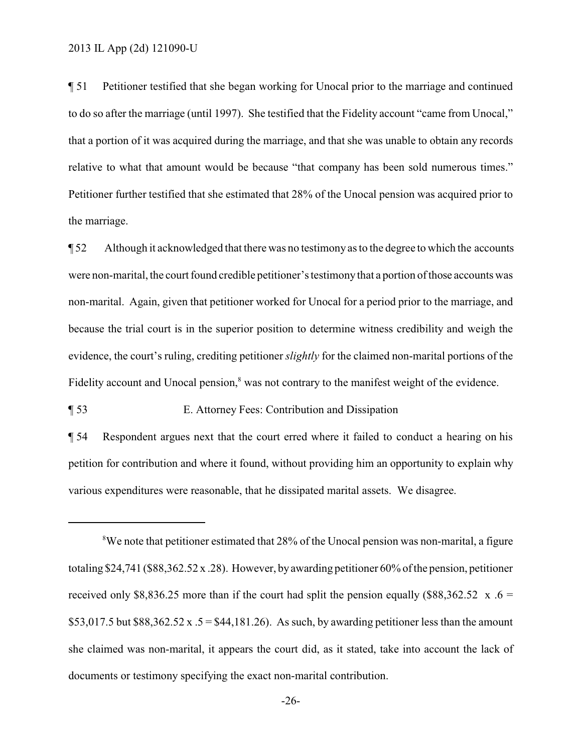¶ 51 Petitioner testified that she began working for Unocal prior to the marriage and continued to do so after the marriage (until 1997). She testified that the Fidelity account "came from Unocal," that a portion of it was acquired during the marriage, and that she was unable to obtain any records relative to what that amount would be because "that company has been sold numerous times." Petitioner further testified that she estimated that 28% of the Unocal pension was acquired prior to the marriage.

¶ 52 Although it acknowledged that there was no testimony as to the degree to which the accounts were non-marital, the court found credible petitioner's testimonythat a portion of those accounts was non-marital. Again, given that petitioner worked for Unocal for a period prior to the marriage, and because the trial court is in the superior position to determine witness credibility and weigh the evidence, the court's ruling, crediting petitioner *slightly* for the claimed non-marital portions of the Fidelity account and Unocal pension,<sup>8</sup> was not contrary to the manifest weight of the evidence.

¶ 53 E. Attorney Fees: Contribution and Dissipation

¶ 54 Respondent argues next that the court erred where it failed to conduct a hearing on his petition for contribution and where it found, without providing him an opportunity to explain why various expenditures were reasonable, that he dissipated marital assets. We disagree.

<sup>&</sup>lt;sup>8</sup>We note that petitioner estimated that 28% of the Unocal pension was non-marital, a figure totaling \$24,741 (\$88,362.52 x .28). However, byawarding petitioner 60% of the pension, petitioner received only \$8,836.25 more than if the court had split the pension equally (\$88,362.52 x  $.6 =$ \$53,017.5 but \$88,362.52 x .5 = \$44,181.26). As such, by awarding petitioner less than the amount she claimed was non-marital, it appears the court did, as it stated, take into account the lack of documents or testimony specifying the exact non-marital contribution.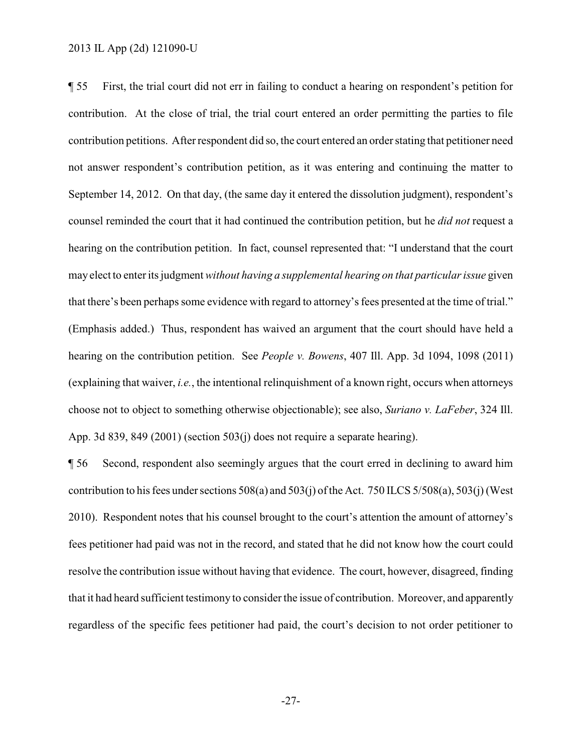¶ 55 First, the trial court did not err in failing to conduct a hearing on respondent's petition for contribution. At the close of trial, the trial court entered an order permitting the parties to file contribution petitions. Afterrespondent did so, the court entered an orderstating that petitioner need not answer respondent's contribution petition, as it was entering and continuing the matter to September 14, 2012. On that day, (the same day it entered the dissolution judgment), respondent's counsel reminded the court that it had continued the contribution petition, but he *did not* request a hearing on the contribution petition. In fact, counsel represented that: "I understand that the court may elect to enterits judgment *without having a supplemental hearing on that particular issue* given that there's been perhaps some evidence with regard to attorney's fees presented at the time of trial." (Emphasis added.) Thus, respondent has waived an argument that the court should have held a hearing on the contribution petition. See *People v. Bowens*, 407 Ill. App. 3d 1094, 1098 (2011) (explaining that waiver,  $i.e.,$  the intentional relinquishment of a known right, occurs when attorneys choose not to object to something otherwise objectionable); see also, *Suriano v. LaFeber*, 324 Ill. App. 3d 839, 849 (2001) (section 503(j) does not require a separate hearing).

¶ 56 Second, respondent also seemingly argues that the court erred in declining to award him contribution to his fees under sections 508(a) and 503(j) of the Act. 750 ILCS 5/508(a), 503(j) (West 2010). Respondent notes that his counsel brought to the court's attention the amount of attorney's fees petitioner had paid was not in the record, and stated that he did not know how the court could resolve the contribution issue without having that evidence. The court, however, disagreed, finding that it had heard sufficient testimony to consider the issue of contribution. Moreover, and apparently regardless of the specific fees petitioner had paid, the court's decision to not order petitioner to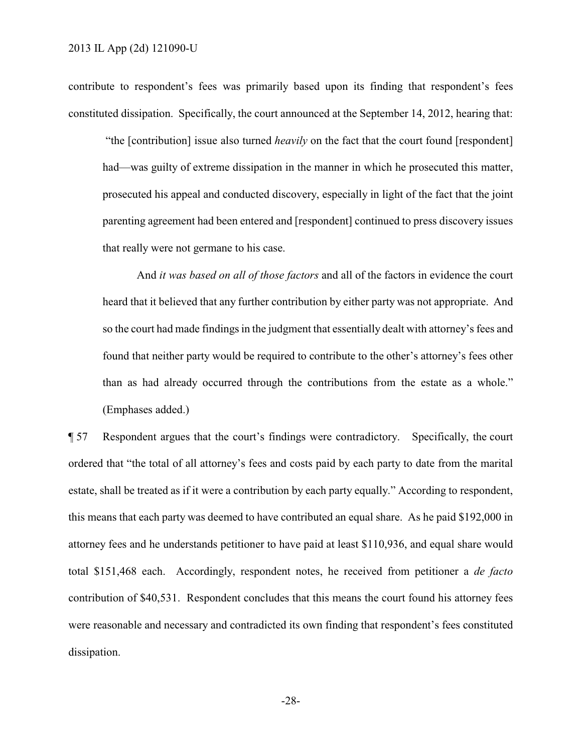contribute to respondent's fees was primarily based upon its finding that respondent's fees constituted dissipation. Specifically, the court announced at the September 14, 2012, hearing that:

"the [contribution] issue also turned *heavily* on the fact that the court found [respondent] had—was guilty of extreme dissipation in the manner in which he prosecuted this matter, prosecuted his appeal and conducted discovery, especially in light of the fact that the joint parenting agreement had been entered and [respondent] continued to press discovery issues that really were not germane to his case.

And *it was based on all of those factors* and all of the factors in evidence the court heard that it believed that any further contribution by either party was not appropriate. And so the court had made findings in the judgment that essentially dealt with attorney's fees and found that neither party would be required to contribute to the other's attorney's fees other than as had already occurred through the contributions from the estate as a whole." (Emphases added.)

¶ 57 Respondent argues that the court's findings were contradictory. Specifically, the court ordered that "the total of all attorney's fees and costs paid by each party to date from the marital estate, shall be treated as if it were a contribution by each party equally." According to respondent, this means that each party was deemed to have contributed an equal share. As he paid \$192,000 in attorney fees and he understands petitioner to have paid at least \$110,936, and equal share would total \$151,468 each. Accordingly, respondent notes, he received from petitioner a *de facto* contribution of \$40,531. Respondent concludes that this means the court found his attorney fees were reasonable and necessary and contradicted its own finding that respondent's fees constituted dissipation.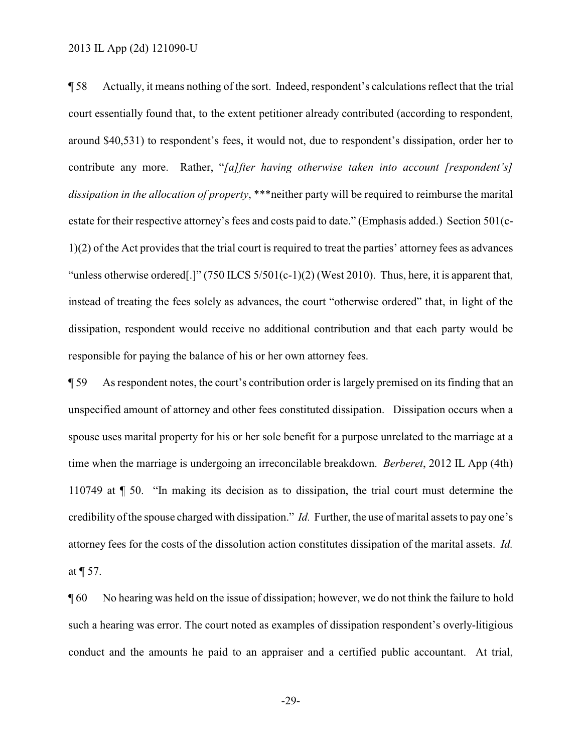¶ 58 Actually, it means nothing of the sort. Indeed, respondent's calculations reflect that the trial court essentially found that, to the extent petitioner already contributed (according to respondent, around \$40,531) to respondent's fees, it would not, due to respondent's dissipation, order her to contribute any more. Rather, "*[a]fter having otherwise taken into account [respondent's] dissipation in the allocation of property*, \*\*\*neither party will be required to reimburse the marital estate for their respective attorney's fees and costs paid to date." (Emphasis added.) Section 501(c-1)(2) of the Act provides that the trial court is required to treat the parties' attorney fees as advances "unless otherwise ordered.]" (750 ILCS 5/501(c-1)(2) (West 2010). Thus, here, it is apparent that, instead of treating the fees solely as advances, the court "otherwise ordered" that, in light of the dissipation, respondent would receive no additional contribution and that each party would be responsible for paying the balance of his or her own attorney fees.

¶ 59 As respondent notes, the court's contribution order is largely premised on its finding that an unspecified amount of attorney and other fees constituted dissipation. Dissipation occurs when a spouse uses marital property for his or her sole benefit for a purpose unrelated to the marriage at a time when the marriage is undergoing an irreconcilable breakdown. *Berberet*, 2012 IL App (4th) 110749 at ¶ 50. "In making its decision as to dissipation, the trial court must determine the credibility of the spouse charged with dissipation." *Id.* Further, the use of marital assets to pay one's attorney fees for the costs of the dissolution action constitutes dissipation of the marital assets. *Id.* at ¶ 57.

¶ 60 No hearing was held on the issue of dissipation; however, we do not think the failure to hold such a hearing was error. The court noted as examples of dissipation respondent's overly-litigious conduct and the amounts he paid to an appraiser and a certified public accountant. At trial,

-29-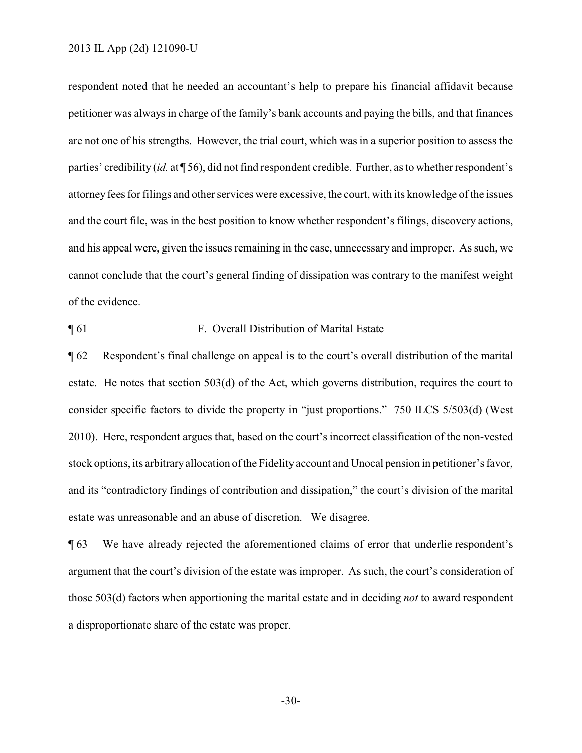respondent noted that he needed an accountant's help to prepare his financial affidavit because petitioner was always in charge of the family's bank accounts and paying the bills, and that finances are not one of his strengths. However, the trial court, which was in a superior position to assess the parties' credibility (*id.* at [56), did not find respondent credible. Further, as to whether respondent's attorneyfees for filings and other services were excessive, the court, with its knowledge of the issues and the court file, was in the best position to know whether respondent's filings, discovery actions, and his appeal were, given the issues remaining in the case, unnecessary and improper. As such, we cannot conclude that the court's general finding of dissipation was contrary to the manifest weight of the evidence.

¶ 61 F. Overall Distribution of Marital Estate

¶ 62 Respondent's final challenge on appeal is to the court's overall distribution of the marital estate. He notes that section 503(d) of the Act, which governs distribution, requires the court to consider specific factors to divide the property in "just proportions." 750 ILCS 5/503(d) (West 2010). Here, respondent argues that, based on the court's incorrect classification of the non-vested stock options, its arbitraryallocation of the Fidelityaccount and Unocal pension in petitioner's favor, and its "contradictory findings of contribution and dissipation," the court's division of the marital estate was unreasonable and an abuse of discretion. We disagree.

¶ 63 We have already rejected the aforementioned claims of error that underlie respondent's argument that the court's division of the estate was improper. As such, the court's consideration of those 503(d) factors when apportioning the marital estate and in deciding *not* to award respondent a disproportionate share of the estate was proper.

-30-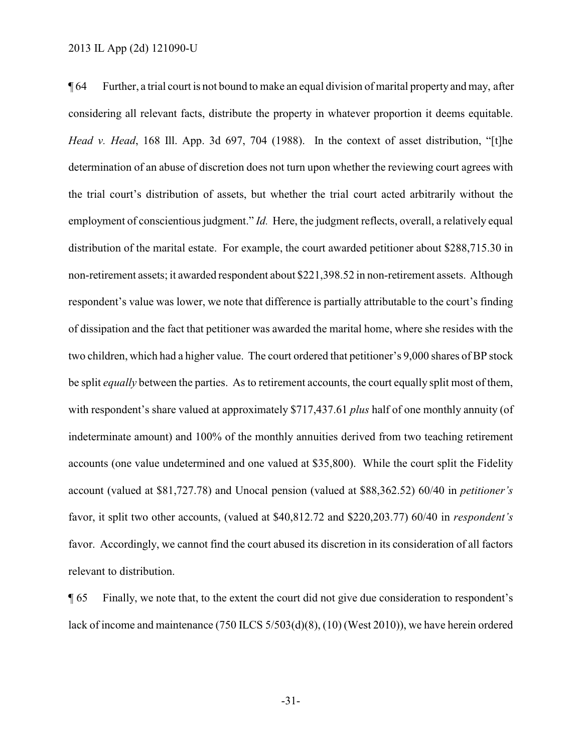¶ 64 Further, a trial court is not bound to make an equal division of marital property and may, after considering all relevant facts, distribute the property in whatever proportion it deems equitable. *Head v. Head*, 168 Ill. App. 3d 697, 704 (1988). In the context of asset distribution, "[t]he determination of an abuse of discretion does not turn upon whether the reviewing court agrees with the trial court's distribution of assets, but whether the trial court acted arbitrarily without the employment of conscientious judgment." *Id.* Here, the judgment reflects, overall, a relatively equal distribution of the marital estate. For example, the court awarded petitioner about \$288,715.30 in non-retirement assets; it awarded respondent about \$221,398.52 in non-retirement assets. Although respondent's value was lower, we note that difference is partially attributable to the court's finding of dissipation and the fact that petitioner was awarded the marital home, where she resides with the two children, which had a higher value. The court ordered that petitioner's 9,000 shares of BP stock be split *equally* between the parties. As to retirement accounts, the court equally split most of them, with respondent's share valued at approximately \$717,437.61 *plus* half of one monthly annuity (of indeterminate amount) and 100% of the monthly annuities derived from two teaching retirement accounts (one value undetermined and one valued at \$35,800). While the court split the Fidelity account (valued at \$81,727.78) and Unocal pension (valued at \$88,362.52) 60/40 in *petitioner's* favor, it split two other accounts, (valued at \$40,812.72 and \$220,203.77) 60/40 in *respondent's* favor. Accordingly, we cannot find the court abused its discretion in its consideration of all factors relevant to distribution.

¶ 65 Finally, we note that, to the extent the court did not give due consideration to respondent's lack of income and maintenance (750 ILCS 5/503(d)(8), (10) (West 2010)), we have herein ordered